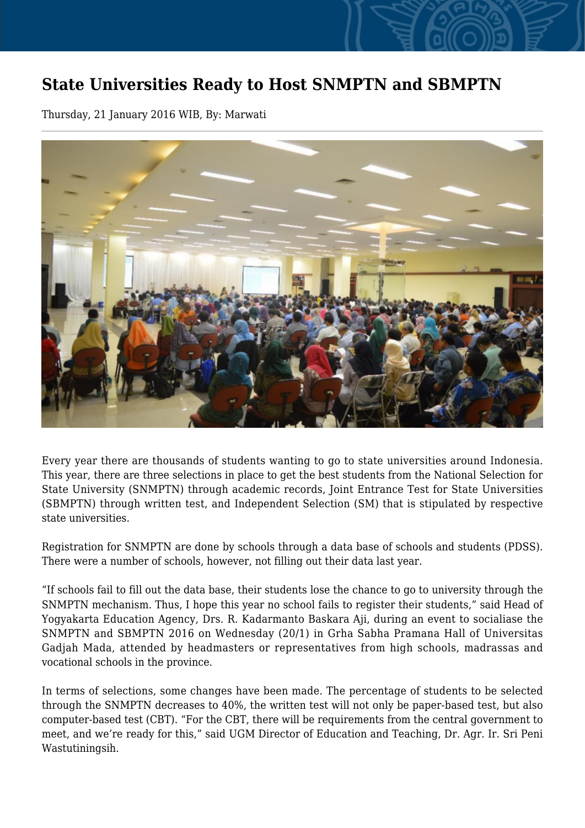## **State Universities Ready to Host SNMPTN and SBMPTN**

Thursday, 21 January 2016 WIB, By: Marwati



Every year there are thousands of students wanting to go to state universities around Indonesia. This year, there are three selections in place to get the best students from the National Selection for State University (SNMPTN) through academic records, Joint Entrance Test for State Universities (SBMPTN) through written test, and Independent Selection (SM) that is stipulated by respective state universities.

Registration for SNMPTN are done by schools through a data base of schools and students (PDSS). There were a number of schools, however, not filling out their data last year.

"If schools fail to fill out the data base, their students lose the chance to go to university through the SNMPTN mechanism. Thus, I hope this year no school fails to register their students," said Head of Yogyakarta Education Agency, Drs. R. Kadarmanto Baskara Aji, during an event to socialiase the SNMPTN and SBMPTN 2016 on Wednesday (20/1) in Grha Sabha Pramana Hall of Universitas Gadjah Mada, attended by headmasters or representatives from high schools, madrassas and vocational schools in the province.

In terms of selections, some changes have been made. The percentage of students to be selected through the SNMPTN decreases to 40%, the written test will not only be paper-based test, but also computer-based test (CBT). "For the CBT, there will be requirements from the central government to meet, and we're ready for this," said UGM Director of Education and Teaching, Dr. Agr. Ir. Sri Peni Wastutiningsih.